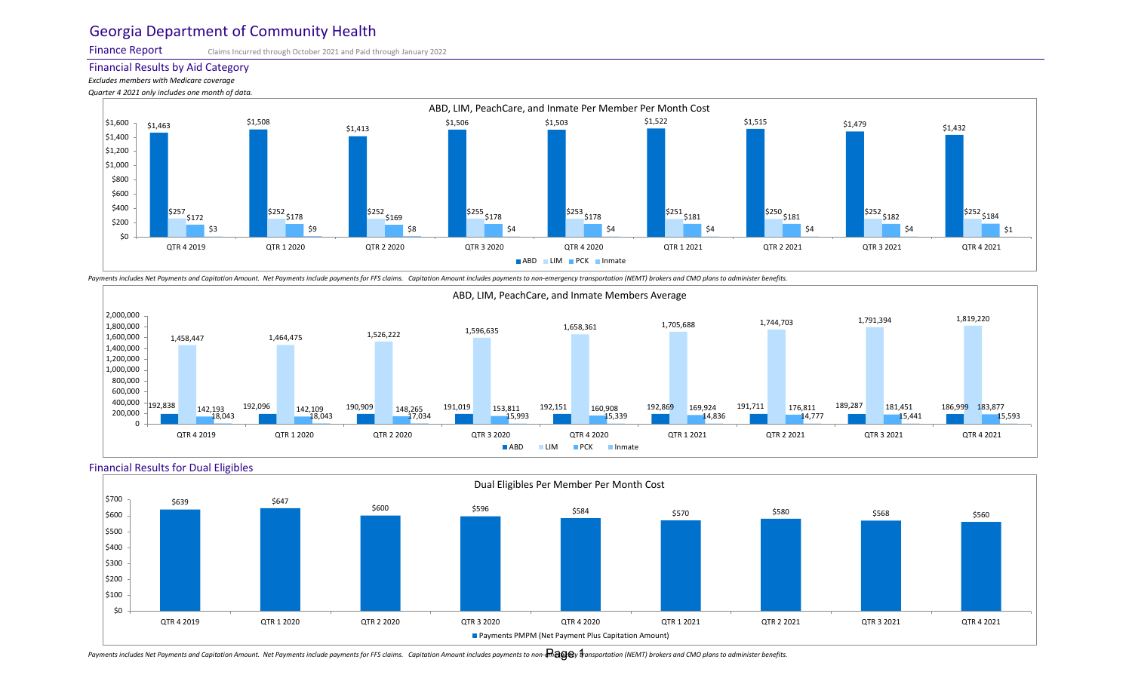Finance Report

Claims Incurred through October 2021 and Paid through January 2022

#### Financial Results by Aid Category

*Excludes members with Medicare coverage Quarter 4 2021 only includes one month of data.*



Payments includes Net Payments and Capitation Amount. Net Payments include payments for FFS claims. Capitation Amount includes payments to non-emergency transportation (NEMT) brokers and CMO plans to administer benefits.



### Financial Results for Dual Eligibles



Payments includes Net Payments and Capitation Amount. Net Payments include payments for FFS claims. Capitation Amount includes payments to non-**maga**y tansportation (NEMT) brokers and CMO plans to administer benefits.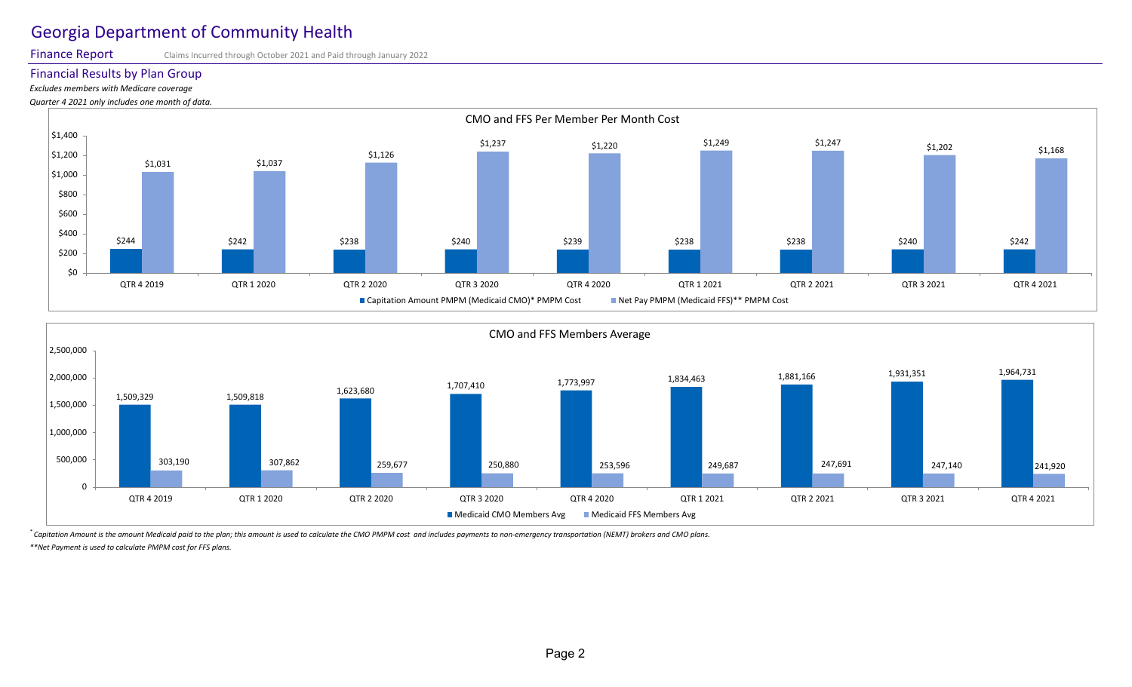Finance Report

#### Claims Incurred through October 2021 and Paid through January 2022

# Financial Results by Plan Group

*Excludes members with Medicare coverage*

*Quarter 4 2021 only includes one month of data.*



![](_page_1_Figure_7.jpeg)

*\* Capitation Amount is the amount Medicaid paid to the plan; this amount is used to calculate the CMO PMPM cost and includes payments to non-emergency transportation (NEMT) brokers and CMO plans. \*\*Net Payment is used to calculate PMPM cost for FFS plans.*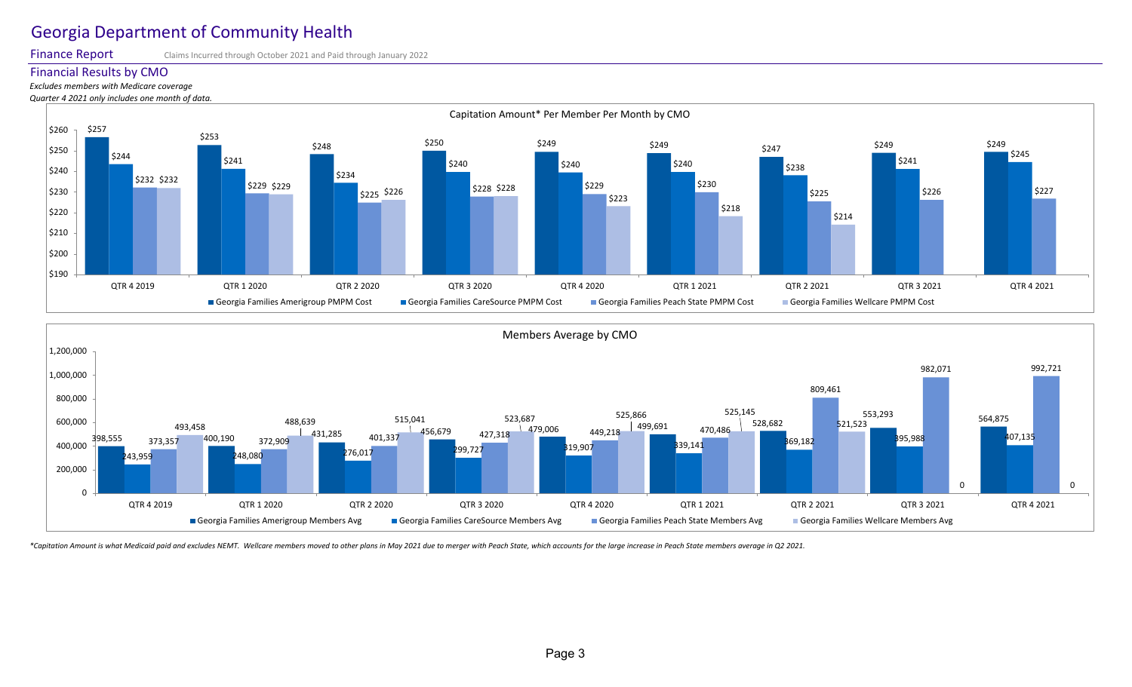Finance Report

## Claims Incurred through October 2021 and Paid through January 2022

## Financial Results by CMO

## *Excludes members with Medicare coverage*

*Quarter 4 2021 only includes one month of data.*

![](_page_2_Figure_6.jpeg)

![](_page_2_Figure_7.jpeg)

\*Capitation Amount is what Medicaid paid and excludes NEMT. Wellcare members moved to other plans in May 2021 due to merger with Peach State, which accounts for the large increase in Peach State members average in Q2 2021.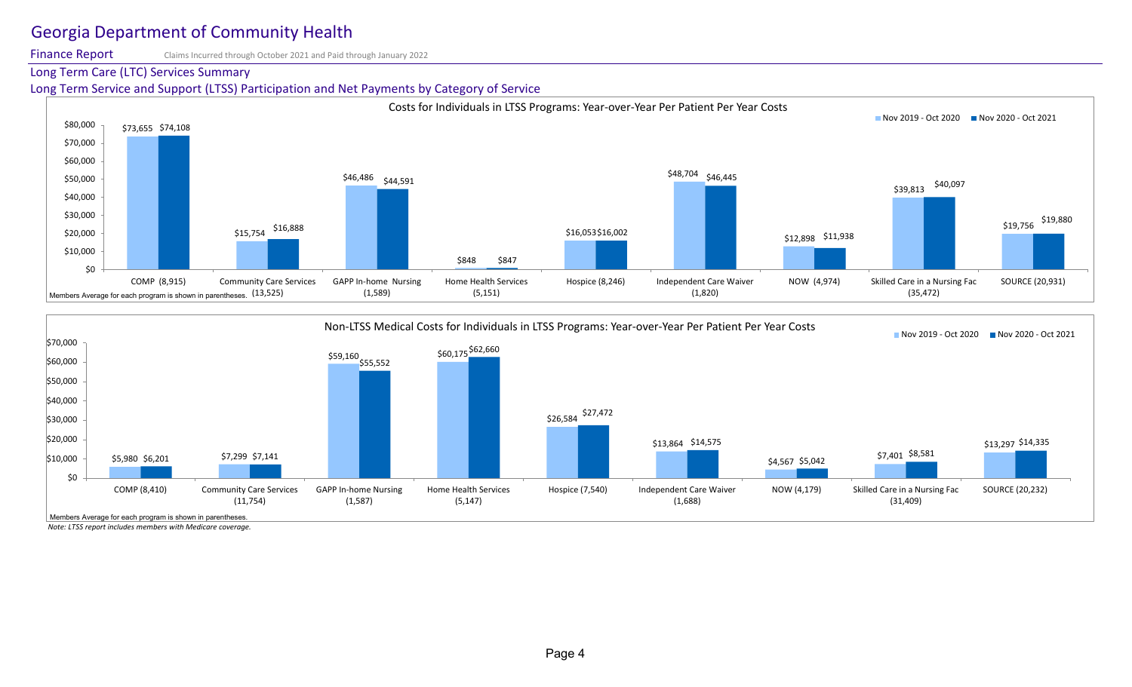Finance Report Claims Incurred through October 2021 and Paid through January 2022

# Long Term Care (LTC) Services Summary

Long Term Service and Support (LTSS) Participation and Net Payments by Category of Service

![](_page_3_Figure_4.jpeg)

![](_page_3_Figure_5.jpeg)

*Note: LTSS report includes members with Medicare coverage.*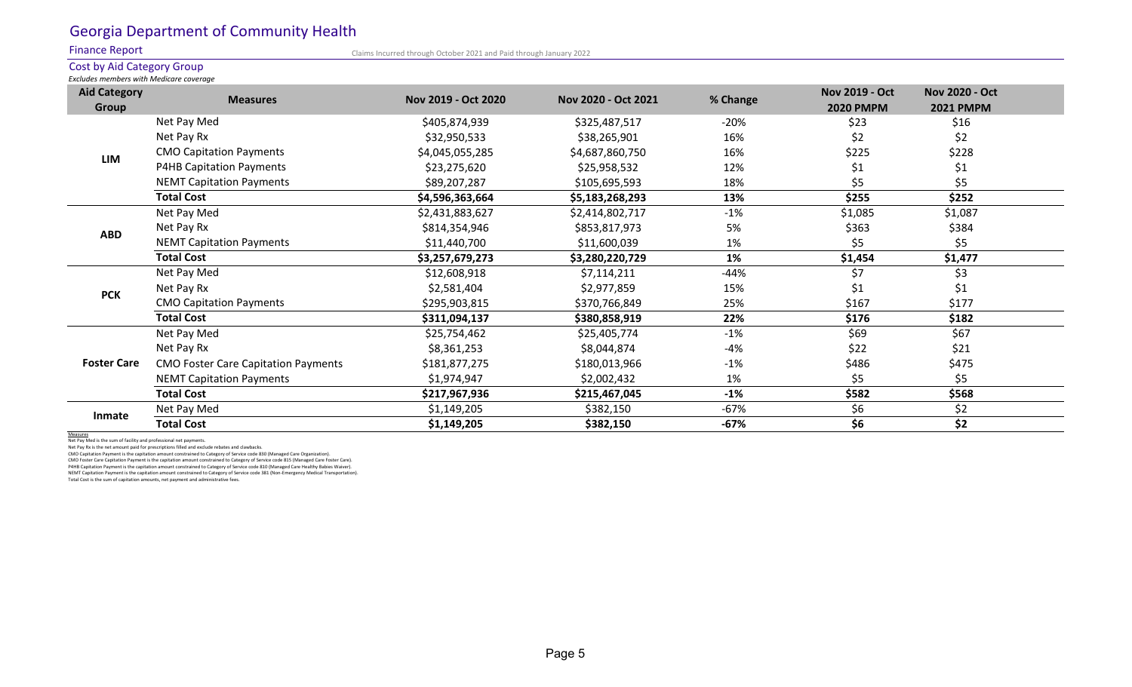## Finance Report

Claims Incurred through October 2021 and Paid through January 2022

# Cost by Aid Category Group

*Excludes members with Medicare coverage*

| <b>Aid Category</b><br>Group | <b>Measures</b>                            | Nov 2019 - Oct 2020 | Nov 2020 - Oct 2021 | % Change | <b>Nov 2019 - Oct</b><br><b>2020 PMPM</b> | <b>Nov 2020 - Oct</b><br><b>2021 PMPM</b> |  |
|------------------------------|--------------------------------------------|---------------------|---------------------|----------|-------------------------------------------|-------------------------------------------|--|
| <b>LIM</b>                   | Net Pay Med                                | \$405,874,939       | \$325,487,517       | $-20%$   | \$23                                      | \$16                                      |  |
|                              | Net Pay Rx                                 | \$32,950,533        | \$38,265,901        | 16%      | \$2                                       | \$2                                       |  |
|                              | <b>CMO Capitation Payments</b>             | \$4,045,055,285     | \$4,687,860,750     | 16%      | \$225                                     | \$228                                     |  |
|                              | P4HB Capitation Payments                   | \$23,275,620        | \$25,958,532        | 12%      | \$1                                       | \$1                                       |  |
|                              | <b>NEMT Capitation Payments</b>            | \$89,207,287        | \$105,695,593       | 18%      | \$5                                       | \$5                                       |  |
|                              | <b>Total Cost</b>                          | \$4,596,363,664     | \$5,183,268,293     | 13%      | \$255                                     | \$252                                     |  |
| <b>ABD</b>                   | Net Pay Med                                | \$2,431,883,627     | \$2,414,802,717     | $-1%$    | \$1,085                                   | \$1,087                                   |  |
|                              | Net Pay Rx                                 | \$814,354,946       | \$853,817,973       | 5%       | \$363                                     | \$384                                     |  |
|                              | <b>NEMT Capitation Payments</b>            | \$11,440,700        | \$11,600,039        | 1%       | \$5                                       | \$5                                       |  |
|                              | <b>Total Cost</b>                          | \$3,257,679,273     | \$3,280,220,729     | 1%       | \$1,454                                   | \$1,477                                   |  |
| <b>PCK</b>                   | Net Pay Med                                | \$12,608,918        | \$7,114,211         | -44%     | \$7                                       | \$3                                       |  |
|                              | Net Pay Rx                                 | \$2,581,404         | \$2,977,859         | 15%      | \$1                                       | \$1                                       |  |
|                              | <b>CMO Capitation Payments</b>             | \$295,903,815       | \$370,766,849       | 25%      | \$167                                     | \$177                                     |  |
|                              | <b>Total Cost</b>                          | \$311,094,137       | \$380,858,919       | 22%      | \$176                                     | \$182                                     |  |
| <b>Foster Care</b>           | Net Pay Med                                | \$25,754,462        | \$25,405,774        | $-1%$    | \$69                                      | \$67                                      |  |
|                              | Net Pay Rx                                 | \$8,361,253         | \$8,044,874         | $-4%$    | \$22                                      | \$21                                      |  |
|                              | <b>CMO Foster Care Capitation Payments</b> | \$181,877,275       | \$180,013,966       | $-1%$    | \$486                                     | \$475                                     |  |
|                              | <b>NEMT Capitation Payments</b>            | \$1,974,947         | \$2,002,432         | 1%       | \$5                                       | \$5                                       |  |
|                              | <b>Total Cost</b>                          | \$217,967,936       | \$215,467,045       | $-1%$    | \$582                                     | \$568                                     |  |
| Inmate                       | Net Pay Med                                | \$1,149,205         | \$382,150           | $-67%$   | \$6                                       | \$2                                       |  |
|                              | <b>Total Cost</b>                          | \$1,149,205         | \$382,150           | $-67%$   | \$6                                       | \$2                                       |  |

Measures Net Pay Med is the sum of facility and professional net payments.

Net Pay Rx is the net amount paid for prescriptions filled and exclude rebates and clawbacks. CMO Capitation Payment is the capitation amount constrained to Category of Service code 830 (Managed Care Organization).

CMO Foster Care Capitation Payment is the capitation amount constrained to Category of Service code 815 (Managed Care Foster Care).

P4HB Capitation Payment is the capitation amount constrained to Category of Service code 810 (Managed Care Healthy Babies Waiver).<br>NEMT Capitation Payment is the capitation amount constrained to Category of Service code 38

Total Cost is the sum of capitation amounts, net payment and administrative fees.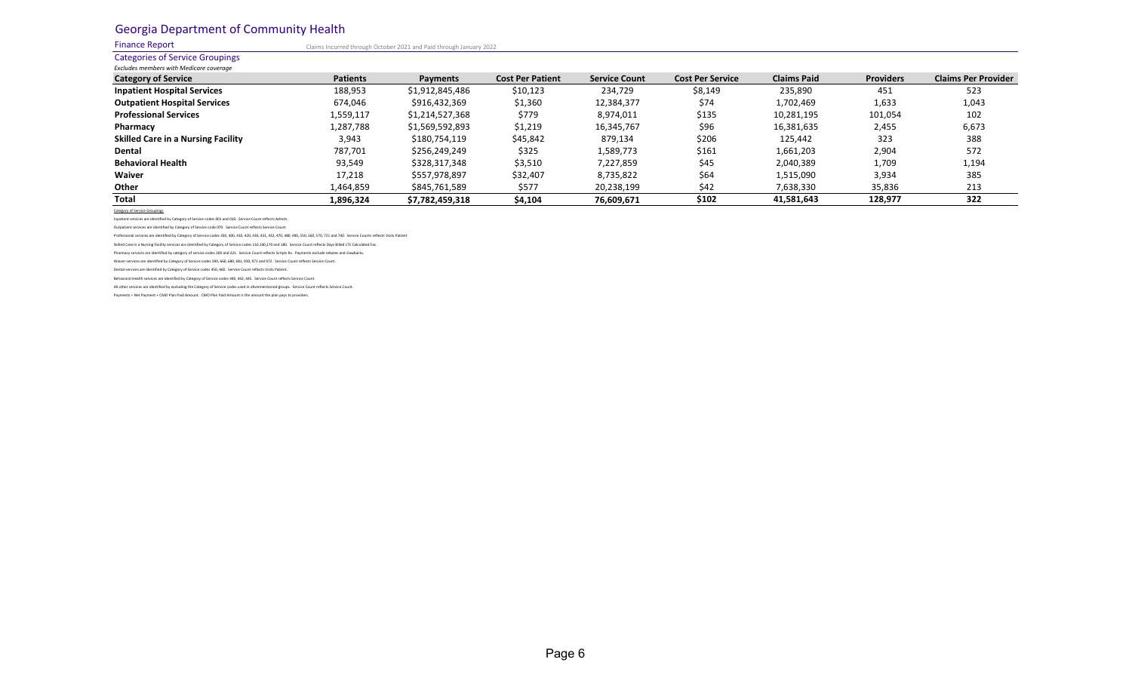Finance Report

Claims Incurred through October 2021 and Paid through January 2022

### Categories of Service Groupings

| <b>Excludes members with Medicare coverage</b> |                 |                 |                         |                      |                         |                    |                  |                            |
|------------------------------------------------|-----------------|-----------------|-------------------------|----------------------|-------------------------|--------------------|------------------|----------------------------|
| <b>Category of Service</b>                     | <b>Patients</b> | Payments        | <b>Cost Per Patient</b> | <b>Service Count</b> | <b>Cost Per Service</b> | <b>Claims Paid</b> | <b>Providers</b> | <b>Claims Per Provider</b> |
| <b>Inpatient Hospital Services</b>             | 188,953         | \$1,912,845,486 | \$10,123                | 234,729              | \$8,149                 | 235,890            | 451              | 523                        |
| <b>Outpatient Hospital Services</b>            | 674,046         | \$916,432,369   | \$1,360                 | 12,384,377           | \$74                    | 1,702,469          | 1,633            | 1,043                      |
| <b>Professional Services</b>                   | 1,559,117       | \$1,214,527,368 | \$779                   | 8,974,011            | \$135                   | 10,281,195         | 101,054          | 102                        |
| Pharmacy                                       | 1,287,788       | \$1,569,592,893 | \$1,219                 | 16,345,767           | \$96                    | 16,381,635         | 2,455            | 6,673                      |
| <b>Skilled Care in a Nursing Facility</b>      | 3,943           | \$180,754,119   | \$45,842                | 879,134              | \$206                   | 125.442            | 323              | 388                        |
| Dental                                         | 787,701         | \$256,249,249   | \$325                   | 1,589,773            | \$161                   | 1,661,203          | 2,904            | 572                        |
| <b>Behavioral Health</b>                       | 93,549          | \$328,317,348   | \$3,510                 | 7,227,859            | \$45                    | 2,040,389          | 1,709            | 1,194                      |
| Waiver                                         | 17,218          | \$557,978,897   | \$32,407                | 8,735,822            | \$64                    | 1,515,090          | 3,934            | 385                        |
| Other                                          | 1,464,859       | \$845,761,589   | \$577                   | 20,238,199           | \$42                    | 7,638,330          | 35,836           | 213                        |
| Total                                          | 1,896,324       | \$7,782,459,318 | \$4,104                 | 76,609,671           | \$102                   | 41,581,643         | 128,977          | 322                        |

Category of

Inpatient services are identified by Category of Service codes 001 and 010. Service Count reflects Admits.

Outpatient services are identified by Category of Service code 070. Service Count reflects Service Count.

Professional services are identified by Category of Service codes 330, 400, 410, 420, 430, 431, 432, 470, 480, 490, 550, 560, 570, 721 and 740. Service Counts reflects Visits Patient

Skilled Care in a Nursing Facility services are identified by Category of Service codes 110,140,170 and 180. Service Count reflects Days Billed LTC Calculated Fac.

Pharmacy services are identified by category of service codes 300 and 321. Service Count reflects Scripts Rx. Payments exclude rebates and clawbacks.

Waiver services are identified by Category of Service codes 590, 660, 680, 681, 930, 971 and 972. Service Count reflects Service Count.

Dental services are identified by Category of Service codes 450, 460. Service Count reflects Visits Patient.

Behavioral Health services are identified by Category of Service codes 440, 442, 445. Service Count reflects Service Count.

All other services are identified by excluding the Category of Service codes used in aforementioned groups. Service Count reflects Service Count.

Payments = Net Payment + CMO Plan Paid Amount. CMO Plan Paid Amount is the amount the plan pays to providers.